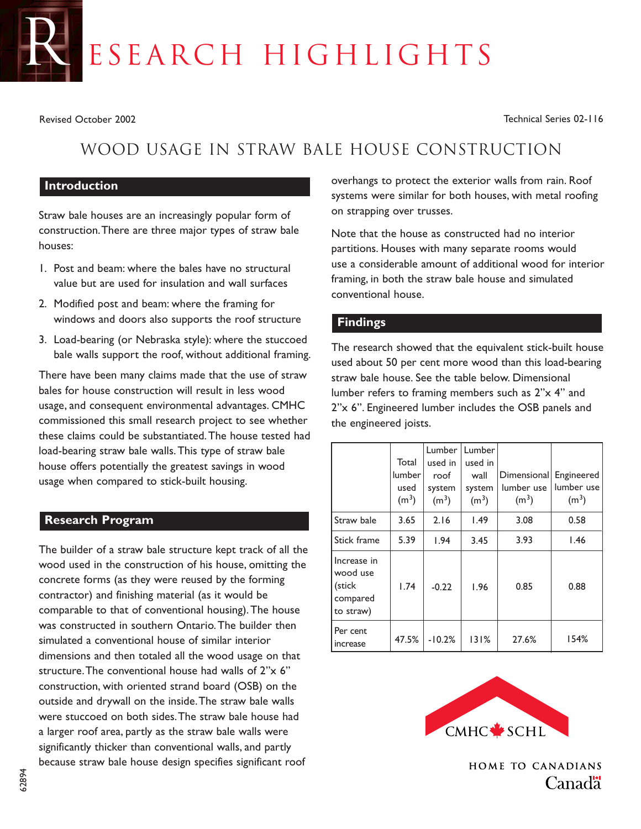# ESEARCH HIGHLIGHTS

Revised October 2002 Technical Series 02-116

# Wood Usage in Straw Bale House Construction

#### **Introduction**

Straw bale houses are an increasingly popular form of construction.There are three major types of straw bale houses:

- 1. Post and beam: where the bales have no structural value but are used for insulation and wall surfaces
- 2. Modified post and beam: where the framing for windows and doors also supports the roof structure
- 3. Load-bearing (or Nebraska style): where the stuccoed bale walls support the roof, without additional framing.

There have been many claims made that the use of straw bales for house construction will result in less wood usage, and consequent environmental advantages. CMHC commissioned this small research project to see whether these claims could be substantiated.The house tested had load-bearing straw bale walls.This type of straw bale house offers potentially the greatest savings in wood usage when compared to stick-built housing.

#### **Research Program**

The builder of a straw bale structure kept track of all the wood used in the construction of his house, omitting the concrete forms (as they were reused by the forming contractor) and finishing material (as it would be comparable to that of conventional housing).The house was constructed in southern Ontario.The builder then simulated a conventional house of similar interior dimensions and then totaled all the wood usage on that structure.The conventional house had walls of 2"x 6" construction, with oriented strand board (OSB) on the outside and drywall on the inside.The straw bale walls were stuccoed on both sides.The straw bale house had a larger roof area, partly as the straw bale walls were significantly thicker than conventional walls, and partly because straw bale house design specifies significant roof

overhangs to protect the exterior walls from rain. Roof systems were similar for both houses, with metal roofing on strapping over trusses.

Note that the house as constructed had no interior partitions. Houses with many separate rooms would use a considerable amount of additional wood for interior framing, in both the straw bale house and simulated conventional house.

## **Findings**

The research showed that the equivalent stick-built house used about 50 per cent more wood than this load-bearing straw bale house. See the table below. Dimensional lumber refers to framing members such as 2"x 4" and 2"x 6". Engineered lumber includes the OSB panels and the engineered joists.

|                                                            | Total<br>lumber<br>used<br>$(m^3)$ | Lumber<br>used in<br>roof<br>system<br>(m <sup>3</sup> ) | Lumber<br>used in<br>wall<br>system<br>(m <sup>3</sup> ) | Dimensional<br>lumber use<br>(m <sup>3</sup> ) | Engineered<br>lumber use<br>(m <sup>3</sup> ) |
|------------------------------------------------------------|------------------------------------|----------------------------------------------------------|----------------------------------------------------------|------------------------------------------------|-----------------------------------------------|
| Straw bale                                                 | 3.65                               | 2.16                                                     | 1.49                                                     | 3.08                                           | 0.58                                          |
| Stick frame                                                | 5.39                               | 1.94                                                     | 3.45                                                     | 3.93                                           | 1.46                                          |
| Increase in<br>wood use<br>(stick<br>compared<br>to straw) | 1.74                               | $-0.22$                                                  | <b>1.96</b>                                              | 0.85                                           | 0.88                                          |
| Per cent<br>increase                                       | 47.5%                              | $-10.2%$                                                 | 131%                                                     | 27.6%                                          | 154%                                          |



**HOME TO CANADIANS** Canada<sup>"</sup>